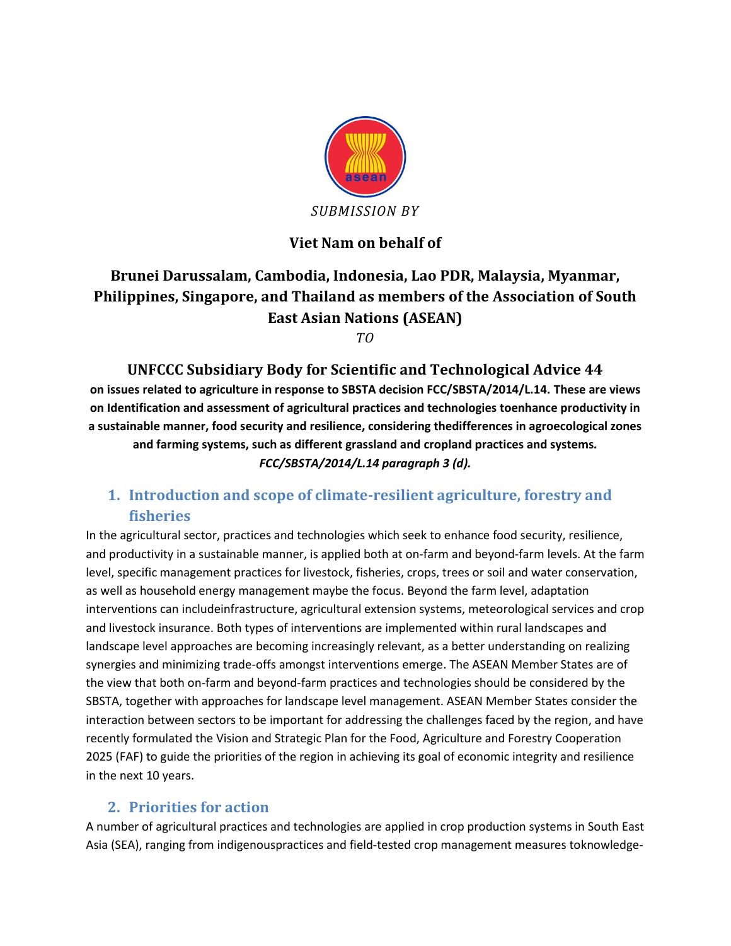

# **Viet Nam on behalf of**

# **Brunei Darussalam, Cambodia, Indonesia, Lao PDR, Malaysia, Myanmar, Philippines, Singapore, and Thailand as members of the Association of South East Asian Nations (ASEAN)**

*TO*

**UNFCCC Subsidiary Body for Scientific and Technological Advice 44 on issues related to agriculture in response to SBSTA decision FCC/SBSTA/2014/L.14. These are views on Identification and assessment of agricultural practices and technologies toenhance productivity in a sustainable manner, food security and resilience, considering thedifferences in agroecological zones and farming systems, such as different grassland and cropland practices and systems***. FCC/SBSTA/2014/L.14 paragraph 3 (d).*

# **1. Introduction and scope of climate-resilient agriculture, forestry and fisheries**

In the agricultural sector, practices and technologies which seek to enhance food security, resilience, and productivity in a sustainable manner, is applied both at on-farm and beyond-farm levels. At the farm level, specific management practices for livestock, fisheries, crops, trees or soil and water conservation, as well as household energy management maybe the focus. Beyond the farm level, adaptation interventions can includeinfrastructure, agricultural extension systems, meteorological services and crop and livestock insurance. Both types of interventions are implemented within rural landscapes and landscape level approaches are becoming increasingly relevant, as a better understanding on realizing synergies and minimizing trade-offs amongst interventions emerge. The ASEAN Member States are of the view that both on-farm and beyond-farm practices and technologies should be considered by the SBSTA, together with approaches for landscape level management. ASEAN Member States consider the interaction between sectors to be important for addressing the challenges faced by the region, and have recently formulated the Vision and Strategic Plan for the Food, Agriculture and Forestry Cooperation 2025 (FAF) to guide the priorities of the region in achieving its goal of economic integrity and resilience in the next 10 years.

## **2. Priorities for action**

A number of agricultural practices and technologies are applied in crop production systems in South East Asia (SEA), ranging from indigenouspractices and field-tested crop management measures toknowledge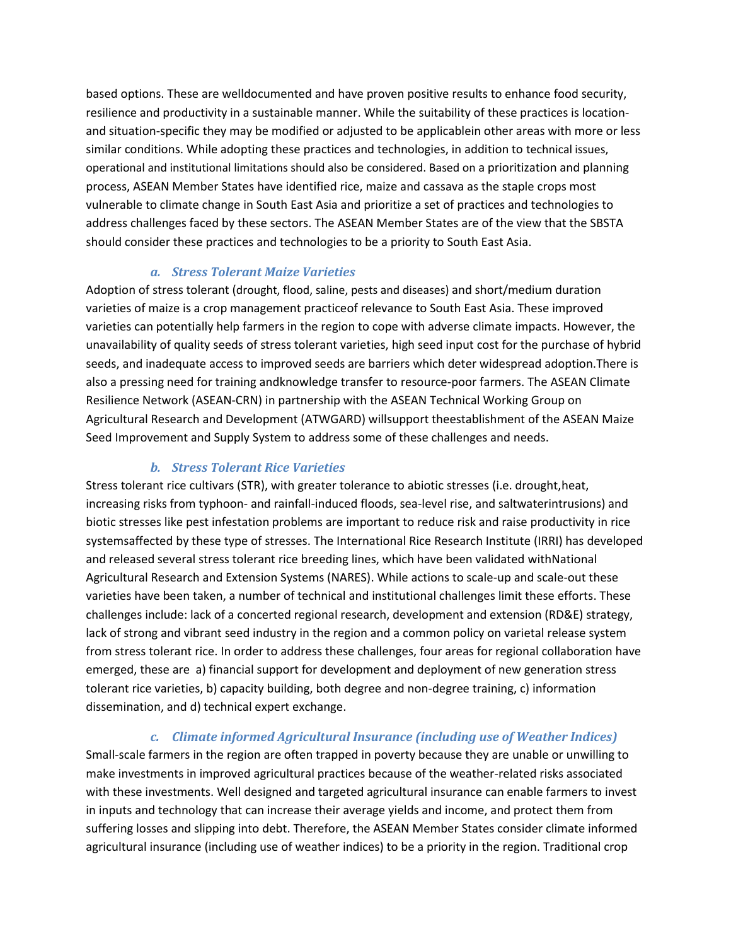based options. These are welldocumented and have proven positive results to enhance food security, resilience and productivity in a sustainable manner. While the suitability of these practices is locationand situation-specific they may be modified or adjusted to be applicablein other areas with more or less similar conditions. While adopting these practices and technologies, in addition to technical issues, operational and institutional limitations should also be considered. Based on a prioritization and planning process, ASEAN Member States have identified rice, maize and cassava as the staple crops most vulnerable to climate change in South East Asia and prioritize a set of practices and technologies to address challenges faced by these sectors. The ASEAN Member States are of the view that the SBSTA should consider these practices and technologies to be a priority to South East Asia.

#### *a. Stress Tolerant Maize Varieties*

Adoption of stress tolerant (drought, flood, saline, pests and diseases) and short/medium duration varieties of maize is a crop management practiceof relevance to South East Asia. These improved varieties can potentially help farmers in the region to cope with adverse climate impacts. However, the unavailability of quality seeds of stress tolerant varieties, high seed input cost for the purchase of hybrid seeds, and inadequate access to improved seeds are barriers which deter widespread adoption.There is also a pressing need for training andknowledge transfer to resource-poor farmers. The ASEAN Climate Resilience Network (ASEAN-CRN) in partnership with the ASEAN Technical Working Group on Agricultural Research and Development (ATWGARD) willsupport theestablishment of the ASEAN Maize Seed Improvement and Supply System to address some of these challenges and needs.

#### *b. Stress Tolerant Rice Varieties*

Stress tolerant rice cultivars (STR), with greater tolerance to abiotic stresses (i.e. drought,heat, increasing risks from typhoon- and rainfall-induced floods, sea-level rise, and saltwaterintrusions) and biotic stresses like pest infestation problems are important to reduce risk and raise productivity in rice systemsaffected by these type of stresses. The International Rice Research Institute (IRRI) has developed and released several stress tolerant rice breeding lines, which have been validated withNational Agricultural Research and Extension Systems (NARES). While actions to scale-up and scale-out these varieties have been taken, a number of technical and institutional challenges limit these efforts. These challenges include: lack of a concerted regional research, development and extension (RD&E) strategy, lack of strong and vibrant seed industry in the region and a common policy on varietal release system from stress tolerant rice. In order to address these challenges, four areas for regional collaboration have emerged, these are a) financial support for development and deployment of new generation stress tolerant rice varieties, b) capacity building, both degree and non-degree training, c) information dissemination, and d) technical expert exchange.

#### *c. Climate informed Agricultural Insurance (including use of Weather Indices)*

Small-scale farmers in the region are often trapped in poverty because they are unable or unwilling to make investments in improved agricultural practices because of the weather-related risks associated with these investments. Well designed and targeted agricultural insurance can enable farmers to invest in inputs and technology that can increase their average yields and income, and protect them from suffering losses and slipping into debt. Therefore, the ASEAN Member States consider climate informed agricultural insurance (including use of weather indices) to be a priority in the region. Traditional crop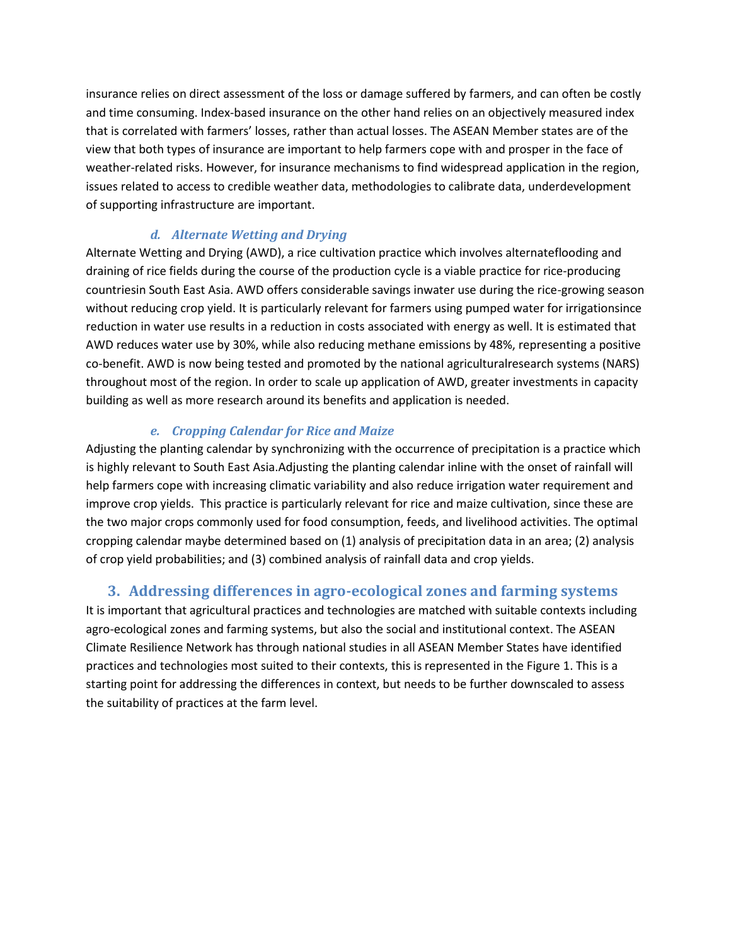insurance relies on direct assessment of the loss or damage suffered by farmers, and can often be costly and time consuming. Index-based insurance on the other hand relies on an objectively measured index that is correlated with farmers' losses, rather than actual losses. The ASEAN Member states are of the view that both types of insurance are important to help farmers cope with and prosper in the face of weather-related risks. However, for insurance mechanisms to find widespread application in the region, issues related to access to credible weather data, methodologies to calibrate data, underdevelopment of supporting infrastructure are important.

#### *d. Alternate Wetting and Drying*

Alternate Wetting and Drying (AWD), a rice cultivation practice which involves alternateflooding and draining of rice fields during the course of the production cycle is a viable practice for rice-producing countriesin South East Asia. AWD offers considerable savings inwater use during the rice-growing season without reducing crop yield. It is particularly relevant for farmers using pumped water for irrigationsince reduction in water use results in a reduction in costs associated with energy as well. It is estimated that AWD reduces water use by 30%, while also reducing methane emissions by 48%, representing a positive co-benefit. AWD is now being tested and promoted by the national agriculturalresearch systems (NARS) throughout most of the region. In order to scale up application of AWD, greater investments in capacity building as well as more research around its benefits and application is needed.

### *e. Cropping Calendar for Rice and Maize*

Adjusting the planting calendar by synchronizing with the occurrence of precipitation is a practice which is highly relevant to South East Asia.Adjusting the planting calendar inline with the onset of rainfall will help farmers cope with increasing climatic variability and also reduce irrigation water requirement and improve crop yields. This practice is particularly relevant for rice and maize cultivation, since these are the two major crops commonly used for food consumption, feeds, and livelihood activities. The optimal cropping calendar maybe determined based on (1) analysis of precipitation data in an area; (2) analysis of crop yield probabilities; and (3) combined analysis of rainfall data and crop yields.

## **3. Addressing differences in agro-ecological zones and farming systems**

It is important that agricultural practices and technologies are matched with suitable contexts including agro-ecological zones and farming systems, but also the social and institutional context. The ASEAN Climate Resilience Network has through national studies in all ASEAN Member States have identified practices and technologies most suited to their contexts, this is represented in the Figure 1. This is a starting point for addressing the differences in context, but needs to be further downscaled to assess the suitability of practices at the farm level.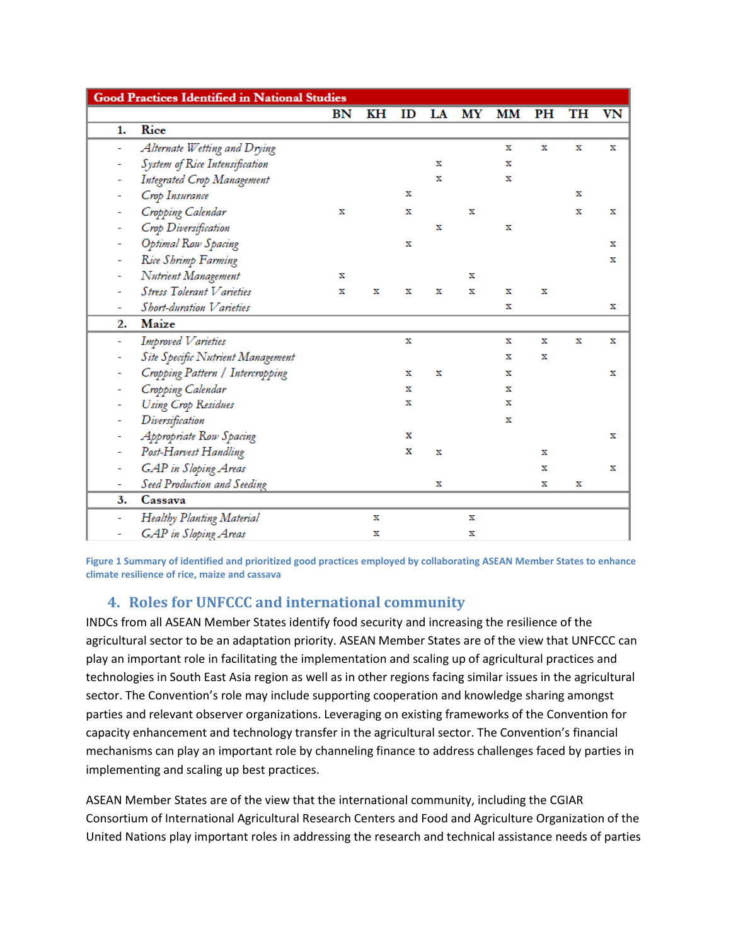| <b>Good Practices Identified in National Studies</b> |                                   |    |    |    |             |    |    |    |    |    |
|------------------------------------------------------|-----------------------------------|----|----|----|-------------|----|----|----|----|----|
|                                                      |                                   | BN | KН | ID | LA          | МY | MМ | PH | TH | VN |
| 1.                                                   | Rice                              |    |    |    |             |    |    |    |    |    |
| ۰                                                    | Alternate Wetting and Drying      |    |    |    |             |    | x  | х  | x  | x  |
| ۰                                                    | System of Rice Intensification    |    |    |    | x           |    | x  |    |    |    |
|                                                      | Integrated Crop Management        |    |    |    | x           |    | x  |    |    |    |
|                                                      | Crop Insurance                    |    |    | x  |             |    |    |    | x  |    |
| ۰                                                    | Cropping Calendar                 | x  |    | x  |             | x  |    |    | x  | x  |
|                                                      | Crop Diversification              |    |    |    | $\mathbf x$ |    | x  |    |    |    |
|                                                      | Optimal Row Spacing               |    |    | x  |             |    |    |    |    | x  |
| -                                                    | Rice Shrimp Farming               |    |    |    |             |    |    |    |    | x  |
|                                                      | Nutrient Management               | x  |    |    |             | x  |    |    |    |    |
|                                                      | Stress Tolerant Varieties         | x  | x  | x  | x           | x  | x  | x  |    |    |
|                                                      | Short-duration Varieties          |    |    |    |             |    | x  |    |    | x  |
| 2.                                                   | Maize                             |    |    |    |             |    |    |    |    |    |
| ä,                                                   | Improved Varieties                |    |    | x  |             |    | x  | x  | x  | x  |
|                                                      | Site Specific Nutrient Management |    |    |    |             |    | x  | х  |    |    |
|                                                      | Cropping Pattern / Intercropping  |    |    | x  | x           |    | x  |    |    | x  |
|                                                      | Cropping Calendar                 |    |    | x  |             |    | x  |    |    |    |
|                                                      | Using Crop Residues               |    |    | x  |             |    | x  |    |    |    |
|                                                      | Diversification                   |    |    |    |             |    | x  |    |    |    |
|                                                      | Appropriate Row Spacing           |    |    | x  |             |    |    |    |    | x  |
| Ξ                                                    | Post-Harvest Handling             |    |    | x  | x           |    |    | x  |    |    |
| ۰                                                    | <b>GAP</b> in Sloping Areas       |    |    |    |             |    |    | x  |    | x  |
| ۰                                                    | Seed Production and Seeding       |    |    |    | x           |    |    | x  | х  |    |
| 3.                                                   | Cassava                           |    |    |    |             |    |    |    |    |    |
| ÷                                                    | Healthy Planting Material         |    | x  |    |             | x  |    |    |    |    |
|                                                      | <b>GAP</b> in Sloping Areas       |    | x  |    |             | x  |    |    |    |    |

**Figure 1 Summary of identified and prioritized good practices employed by collaborating ASEAN Member States to enhance climate resilience of rice, maize and cassava**

# **4. Roles for UNFCCC and international community**

INDCs from all ASEAN Member States identify food security and increasing the resilience of the agricultural sector to be an adaptation priority. ASEAN Member States are of the view that UNFCCC can play an important role in facilitating the implementation and scaling up of agricultural practices and technologies in South East Asia region as well as in other regions facing similar issues in the agricultural sector. The Convention's role may include supporting cooperation and knowledge sharing amongst parties and relevant observer organizations. Leveraging on existing frameworks of the Convention for capacity enhancement and technology transfer in the agricultural sector. The Convention's financial mechanisms can play an important role by channeling finance to address challenges faced by parties in implementing and scaling up best practices.

ASEAN Member States are of the view that the international community, including the CGIAR Consortium of International Agricultural Research Centers and Food and Agriculture Organization of the United Nations play important roles in addressing the research and technical assistance needs of parties